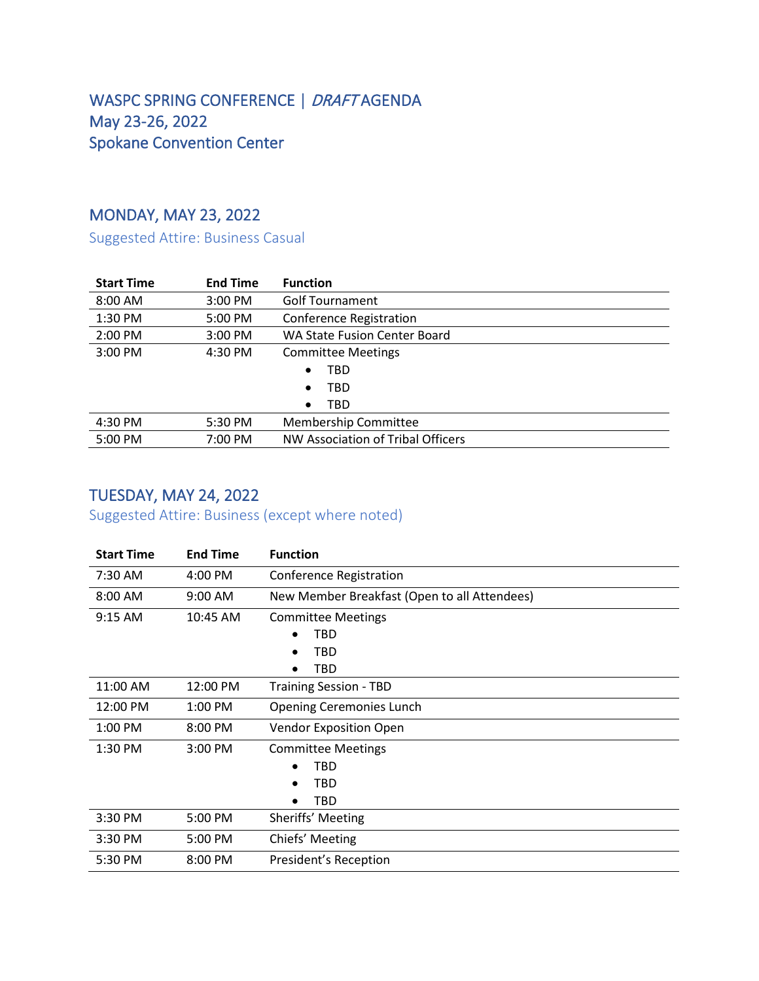### WASPC SPRING CONFERENCE | DRAFT AGENDA May 23-26, 2022 Spokane Convention Center

### MONDAY, MAY 23, 2022

Suggested Attire: Business Casual

| <b>Start Time</b> | <b>End Time</b> | <b>Function</b>                   |
|-------------------|-----------------|-----------------------------------|
| 8:00 AM           | $3:00$ PM       | <b>Golf Tournament</b>            |
| 1:30 PM           | 5:00 PM         | <b>Conference Registration</b>    |
| $2:00$ PM         | $3:00$ PM       | WA State Fusion Center Board      |
| $3:00$ PM         | 4:30 PM         | <b>Committee Meetings</b>         |
|                   |                 | TBD<br>٠                          |
|                   |                 | TBD<br>$\bullet$                  |
|                   |                 | TBD<br>$\bullet$                  |
| 4:30 PM           | 5:30 PM         | <b>Membership Committee</b>       |
| 5:00 PM           | 7:00 PM         | NW Association of Tribal Officers |

#### TUESDAY, MAY 24, 2022

Suggested Attire: Business (except where noted)

| <b>Start Time</b> | <b>End Time</b>   | <b>Function</b>                              |
|-------------------|-------------------|----------------------------------------------|
| 7:30 AM           | 4:00 PM           | <b>Conference Registration</b>               |
| $8:00$ AM         | $9:00 \text{ AM}$ | New Member Breakfast (Open to all Attendees) |
| $9:15$ AM         | 10:45 AM          | <b>Committee Meetings</b>                    |
|                   |                   | TBD<br>٠                                     |
|                   |                   | TBD<br>٠                                     |
|                   |                   | TBD                                          |
| 11:00 AM          | 12:00 PM          | <b>Training Session - TBD</b>                |
| 12:00 PM          | 1:00 PM           | <b>Opening Ceremonies Lunch</b>              |
| 1:00 PM           | 8:00 PM           | <b>Vendor Exposition Open</b>                |
| 1:30 PM           | 3:00 PM           | <b>Committee Meetings</b>                    |
|                   |                   | TBD                                          |
|                   |                   | <b>TBD</b>                                   |
|                   |                   | TBD                                          |
| 3:30 PM           | 5:00 PM           | Sheriffs' Meeting                            |
| 3:30 PM           | 5:00 PM           | Chiefs' Meeting                              |
| 5:30 PM           | 8:00 PM           | President's Reception                        |